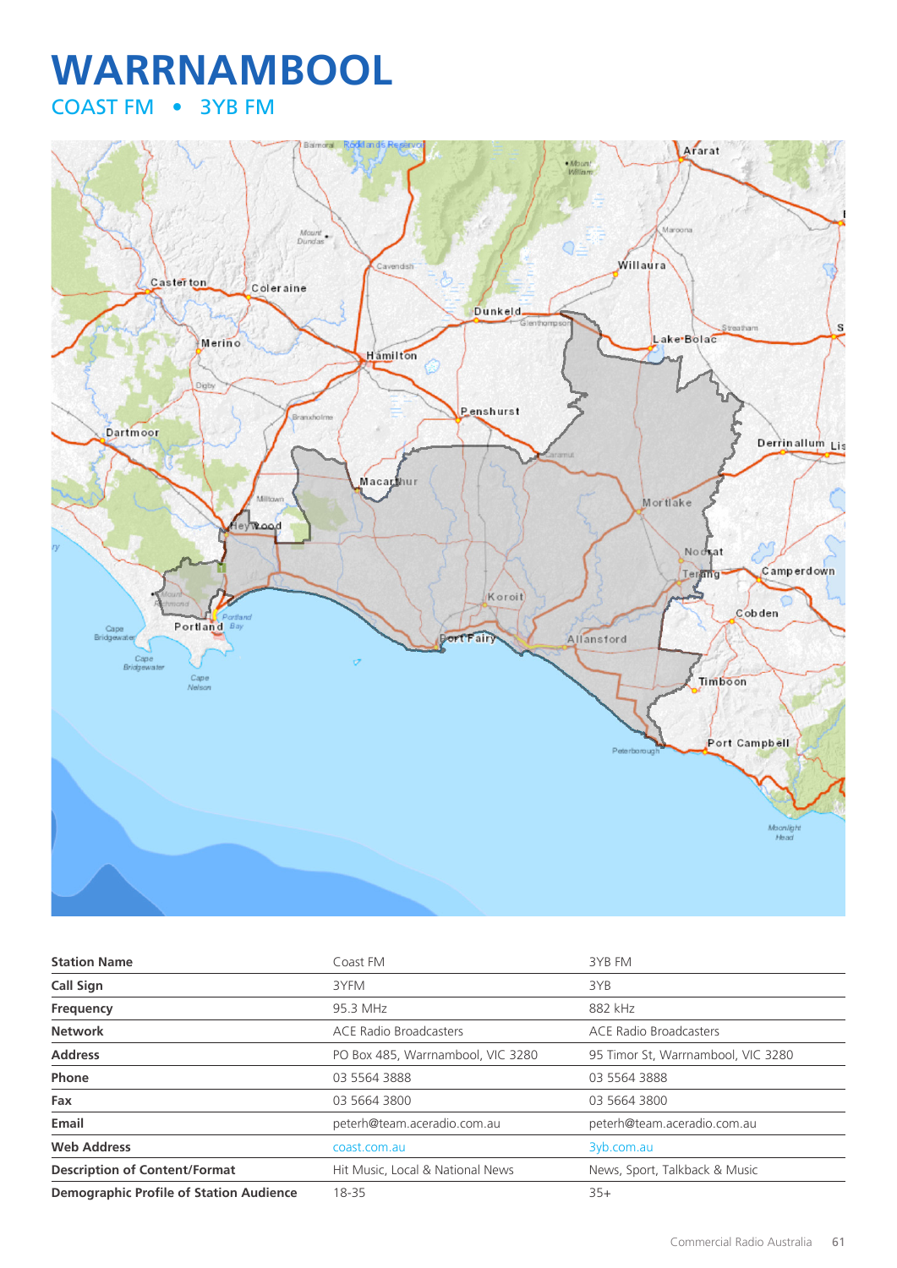# **WARRNAMBOOL** COAST FM • 3YB FM



| <b>Station Name</b>                            | Coast FM                          | 3YB FM                             |
|------------------------------------------------|-----------------------------------|------------------------------------|
| Call Sign                                      | 3YFM                              | 3YB                                |
| Frequency                                      | 95.3 MHz                          | 882 kHz                            |
| <b>Network</b>                                 | <b>ACE Radio Broadcasters</b>     | <b>ACE Radio Broadcasters</b>      |
| <b>Address</b>                                 | PO Box 485, Warrnambool, VIC 3280 | 95 Timor St, Warrnambool, VIC 3280 |
| Phone                                          | 03 5564 3888                      | 03 5564 3888                       |
| Fax                                            | 03 5664 3800                      | 03 5664 3800                       |
| Email                                          | peterh@team.aceradio.com.au       | peterh@team.aceradio.com.au        |
| <b>Web Address</b>                             | coast.com.au                      | 3yb.com.au                         |
| <b>Description of Content/Format</b>           | Hit Music, Local & National News  | News, Sport, Talkback & Music      |
| <b>Demographic Profile of Station Audience</b> | 18-35                             | $35+$                              |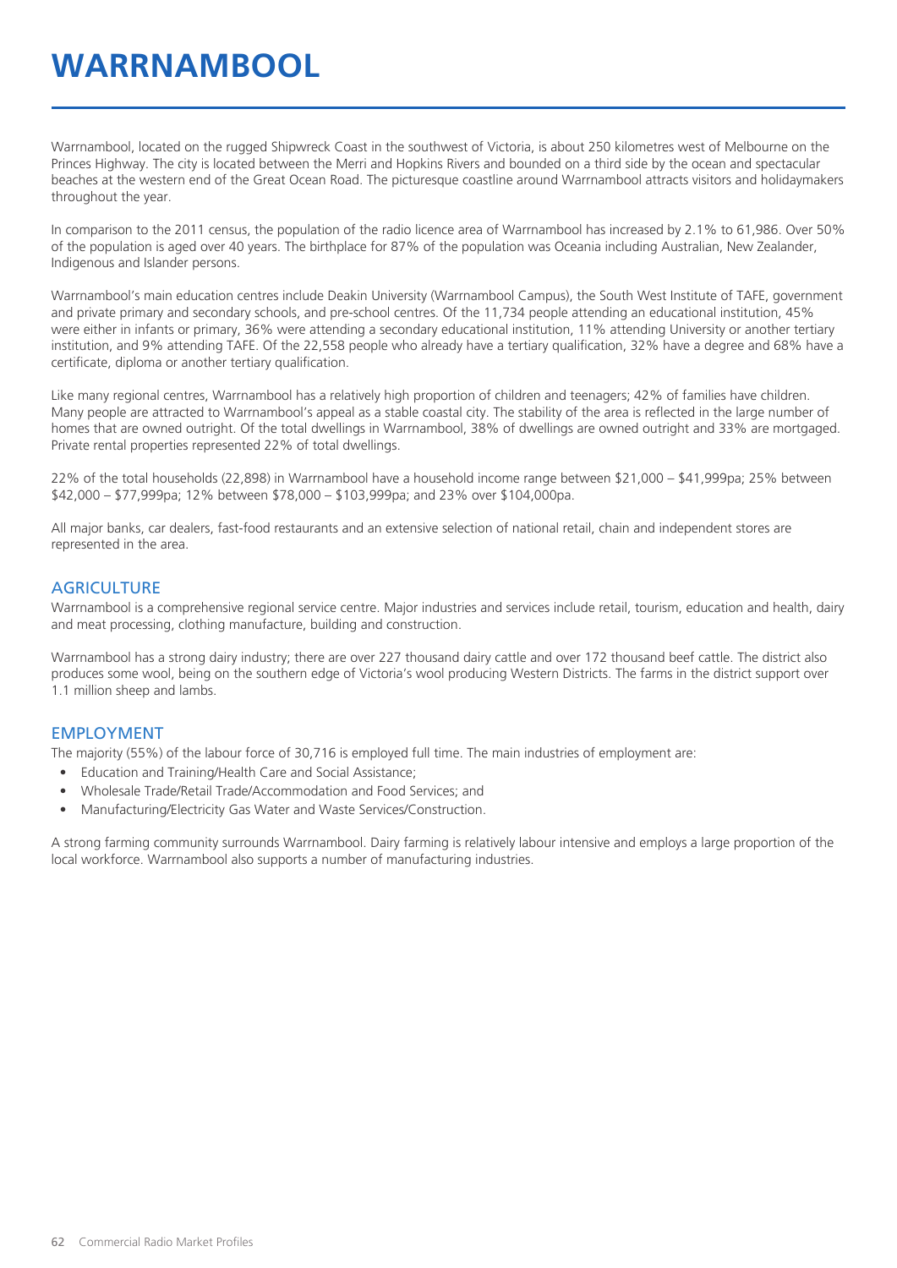# **WARRNAMBOOL**

Warrnambool, located on the rugged Shipwreck Coast in the southwest of Victoria, is about 250 kilometres west of Melbourne on the Princes Highway. The city is located between the Merri and Hopkins Rivers and bounded on a third side by the ocean and spectacular beaches at the western end of the Great Ocean Road. The picturesque coastline around Warrnambool attracts visitors and holidaymakers throughout the year.

In comparison to the 2011 census, the population of the radio licence area of Warrnambool has increased by 2.1% to 61,986. Over 50% of the population is aged over 40 years. The birthplace for 87% of the population was Oceania including Australian, New Zealander, Indigenous and Islander persons.

Warrnambool's main education centres include Deakin University (Warrnambool Campus), the South West Institute of TAFE, government and private primary and secondary schools, and pre-school centres. Of the 11,734 people attending an educational institution, 45% were either in infants or primary, 36% were attending a secondary educational institution, 11% attending University or another tertiary institution, and 9% attending TAFE. Of the 22,558 people who already have a tertiary qualification, 32% have a degree and 68% have a certificate, diploma or another tertiary qualification.

Like many regional centres, Warrnambool has a relatively high proportion of children and teenagers; 42% of families have children. Many people are attracted to Warrnambool's appeal as a stable coastal city. The stability of the area is reflected in the large number of homes that are owned outright. Of the total dwellings in Warrnambool, 38% of dwellings are owned outright and 33% are mortgaged. Private rental properties represented 22% of total dwellings.

22% of the total households (22,898) in Warrnambool have a household income range between \$21,000 – \$41,999pa; 25% between \$42,000 – \$77,999pa; 12% between \$78,000 – \$103,999pa; and 23% over \$104,000pa.

All major banks, car dealers, fast-food restaurants and an extensive selection of national retail, chain and independent stores are represented in the area.

#### **AGRICULTURE**

Warrnambool is a comprehensive regional service centre. Major industries and services include retail, tourism, education and health, dairy and meat processing, clothing manufacture, building and construction.

Warrnambool has a strong dairy industry; there are over 227 thousand dairy cattle and over 172 thousand beef cattle. The district also produces some wool, being on the southern edge of Victoria's wool producing Western Districts. The farms in the district support over 1.1 million sheep and lambs.

#### EMPLOYMENT

The majority (55%) of the labour force of 30,716 is employed full time. The main industries of employment are:

- Education and Training/Health Care and Social Assistance;
- Wholesale Trade/Retail Trade/Accommodation and Food Services; and
- Manufacturing/Electricity Gas Water and Waste Services/Construction.

A strong farming community surrounds Warrnambool. Dairy farming is relatively labour intensive and employs a large proportion of the local workforce. Warrnambool also supports a number of manufacturing industries.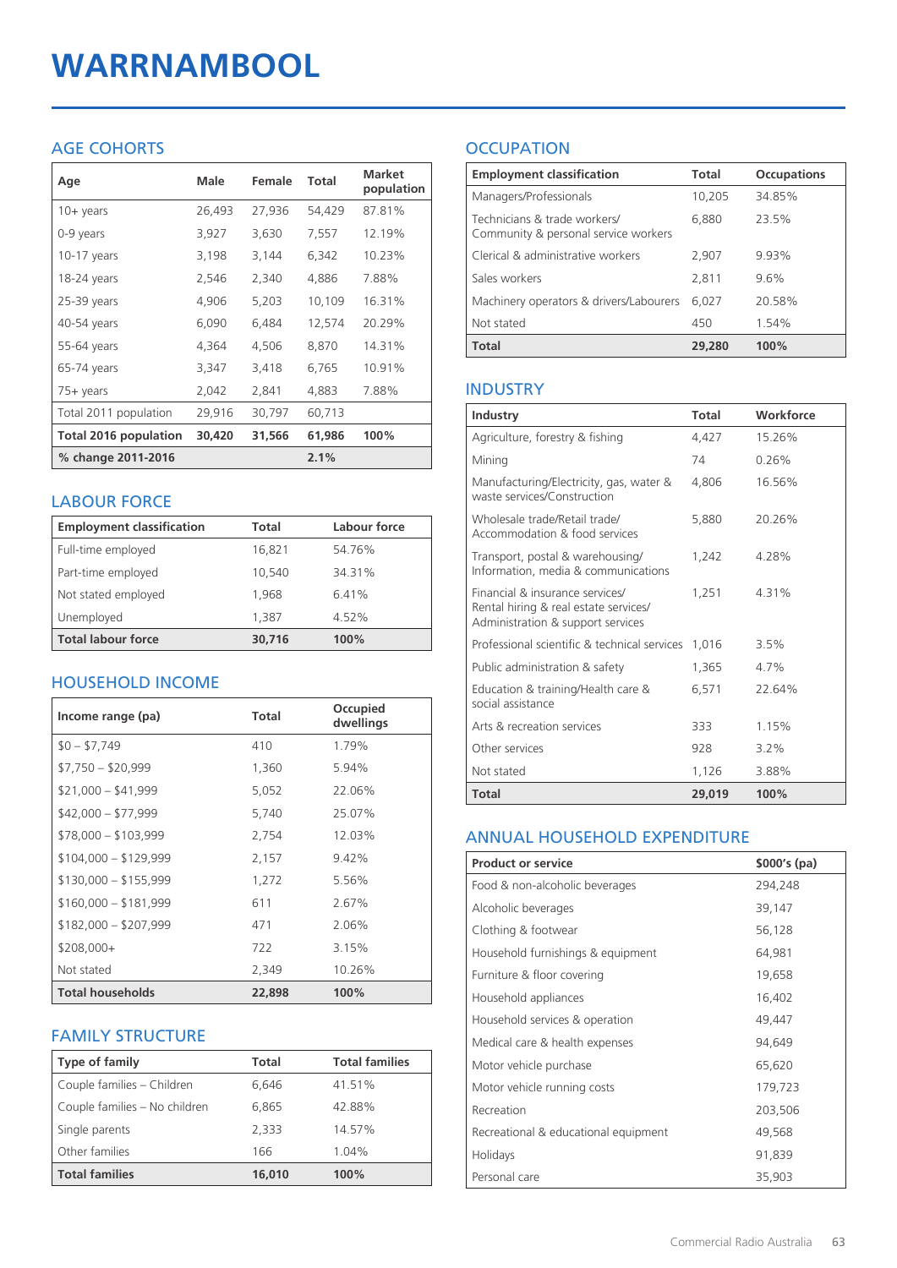# **WARRNAMBOOL**

# AGE COHORTS

| Age                   | Male   | Female | Total  | <b>Market</b><br>population |
|-----------------------|--------|--------|--------|-----------------------------|
| $10 + \gamma$ ears    | 26,493 | 27,936 | 54,429 | 87.81%                      |
| 0-9 years             | 3,927  | 3,630  | 7,557  | 12.19%                      |
| $10-17$ years         | 3,198  | 3,144  | 6,342  | 10.23%                      |
| 18-24 years           | 2,546  | 2,340  | 4,886  | 7.88%                       |
| 25-39 years           | 4,906  | 5,203  | 10,109 | 16.31%                      |
| 40-54 years           | 6,090  | 6,484  | 12,574 | 20.29%                      |
| 55-64 years           | 4,364  | 4,506  | 8,870  | 14.31%                      |
| 65-74 years           | 3,347  | 3,418  | 6,765  | 10.91%                      |
| $75+$ years           | 2,042  | 2,841  | 4,883  | 7.88%                       |
| Total 2011 population | 29,916 | 30,797 | 60,713 |                             |
| Total 2016 population | 30,420 | 31,566 | 61,986 | 100%                        |
| % change 2011-2016    |        |        | 2.1%   |                             |

### LABOUR FORCE

| <b>Employment classification</b> | Total  | Labour force |
|----------------------------------|--------|--------------|
| Full-time employed               | 16,821 | 54.76%       |
| Part-time employed               | 10,540 | 34.31%       |
| Not stated employed              | 1.968  | 6.41%        |
| Unemployed                       | 1,387  | 4.52%        |
| <b>Total labour force</b>        | 30,716 | 100%         |

# HOUSEHOLD INCOME

| Income range (pa)       | Total  | Occupied<br>dwellings |
|-------------------------|--------|-----------------------|
| $$0 - $7,749$           | 410    | 1.79%                 |
| $$7,750 - $20,999$      | 1,360  | 5.94%                 |
| $$21,000 - $41,999$     | 5,052  | 22.06%                |
| $$42,000 - $77,999$     | 5,740  | 25.07%                |
| $$78,000 - $103,999$    | 2,754  | 12.03%                |
| $$104,000 - $129,999$   | 2,157  | $9.42\%$              |
| $$130,000 - $155,999$   | 1,272  | 5.56%                 |
| $$160,000 - $181,999$   | 611    | 2.67%                 |
| $$182,000 - $207,999$   | 471    | 2.06%                 |
| $$208,000+$             | 722    | 3.15%                 |
| Not stated              | 2,349  | 10.26%                |
| <b>Total households</b> | 22,898 | 100%                  |

# FAMILY STRUCTURE

| <b>Type of family</b>         | Total  | <b>Total families</b> |
|-------------------------------|--------|-----------------------|
| Couple families - Children    | 6.646  | 41.51%                |
| Couple families - No children | 6,865  | 42.88%                |
| Single parents                | 2.333  | 14.57%                |
| Other families                | 166    | 1.04%                 |
| <b>Total families</b>         | 16,010 | 100%                  |

# **OCCUPATION**

| <b>Employment classification</b>                                     | Total  | <b>Occupations</b> |
|----------------------------------------------------------------------|--------|--------------------|
| Managers/Professionals                                               | 10,205 | 34.85%             |
| Technicians & trade workers/<br>Community & personal service workers | 6,880  | 23.5%              |
| Clerical & administrative workers                                    | 2,907  | 9.93%              |
| Sales workers                                                        | 2,811  | 9.6%               |
| Machinery operators & drivers/Labourers                              | 6.027  | 20.58%             |
| Not stated                                                           | 450    | 1.54%              |
| <b>Total</b>                                                         | 29,280 | 100%               |

### INDUSTRY

| Industry                                                                                                      | Total  | Workforce |
|---------------------------------------------------------------------------------------------------------------|--------|-----------|
| Agriculture, forestry & fishing                                                                               | 4,427  | 15.26%    |
| Mining                                                                                                        | 74     | 0.26%     |
| Manufacturing/Electricity, gas, water &<br>waste services/Construction                                        | 4,806  | 16.56%    |
| Wholesale trade/Retail trade/<br>Accommodation & food services                                                | 5,880  | 20.26%    |
| Transport, postal & warehousing/<br>Information, media & communications                                       | 1,242  | 4.28%     |
| Financial & insurance services/<br>Rental hiring & real estate services/<br>Administration & support services | 1.251  | 4.31%     |
| Professional scientific & technical services                                                                  | 1,016  | 3.5%      |
| Public administration & safety                                                                                | 1,365  | 4.7%      |
| Education & training/Health care &<br>social assistance                                                       | 6,571  | 22.64%    |
| Arts & recreation services                                                                                    | 333    | 1.15%     |
| Other services                                                                                                | 928    | 3.2%      |
| Not stated                                                                                                    | 1,126  | 3.88%     |
| Total                                                                                                         | 29,019 | 100%      |

#### ANNUAL HOUSEHOLD EXPENDITURE

| <b>Product or service</b>            | $$000's$ (pa) |
|--------------------------------------|---------------|
| Food & non-alcoholic beverages       | 294,248       |
| Alcoholic beverages                  | 39,147        |
| Clothing & footwear                  | 56,128        |
| Household furnishings & equipment    | 64,981        |
| Furniture & floor covering           | 19,658        |
| Household appliances                 | 16,402        |
| Household services & operation       | 49,447        |
| Medical care & health expenses       | 94,649        |
| Motor vehicle purchase               | 65,620        |
| Motor vehicle running costs          | 179,723       |
| Recreation                           | 203,506       |
| Recreational & educational equipment | 49,568        |
| Holidays                             | 91,839        |
| Personal care                        | 35,903        |